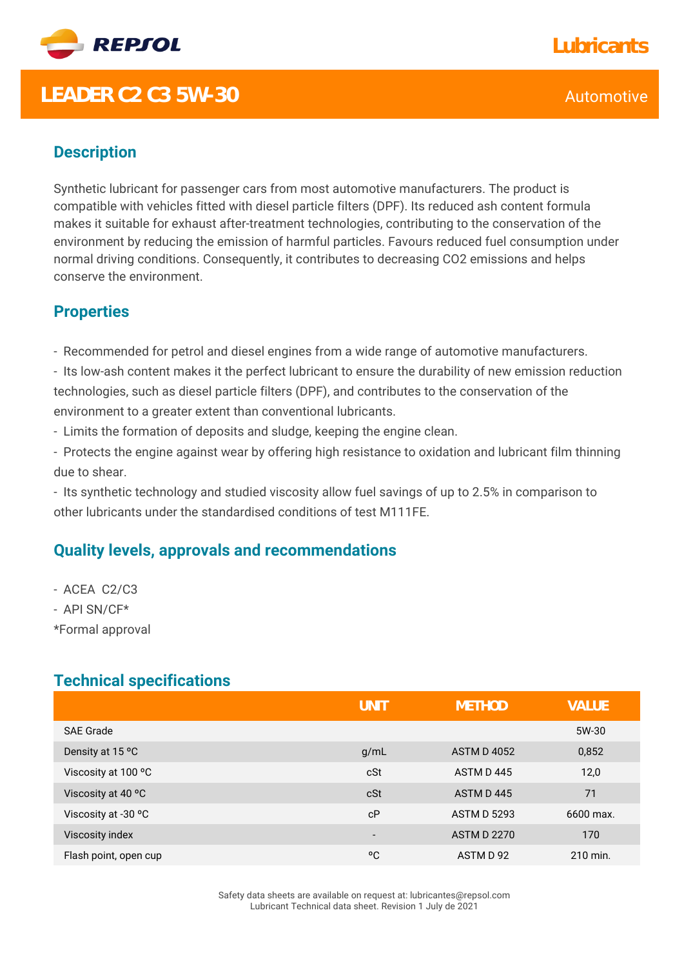

### **Description**

Synthetic lubricant for passenger cars from most automotive manufacturers. The product is compatible with vehicles fitted with diesel particle filters (DPF). Its reduced ash content formula makes it suitable for exhaust after-treatment technologies, contributing to the conservation of the environment by reducing the emission of harmful particles. Favours reduced fuel consumption under normal driving conditions. Consequently, it contributes to decreasing CO2 emissions and helps conserve the environment.

#### **Properties**

- Recommended for petrol and diesel engines from a wide range of automotive manufacturers.

- Its low-ash content makes it the perfect lubricant to ensure the durability of new emission reduction technologies, such as diesel particle filters (DPF), and contributes to the conservation of the environment to a greater extent than conventional lubricants.

- Limits the formation of deposits and sludge, keeping the engine clean.
- Protects the engine against wear by offering high resistance to oxidation and lubricant film thinning due to shear.

- Its synthetic technology and studied viscosity allow fuel savings of up to 2.5% in comparison to other lubricants under the standardised conditions of test M111FE.

#### **Quality levels, approvals and recommendations**

- ACEA C2/C3
- API SN/CF\*

\*Formal approval

#### **Technical specifications**

|                       | <b>UNIT</b>              | <b>METHOD</b>      | <b>VALUE</b> |
|-----------------------|--------------------------|--------------------|--------------|
| <b>SAE Grade</b>      |                          |                    | 5W-30        |
| Density at 15 °C      | g/mL                     | <b>ASTM D 4052</b> | 0,852        |
| Viscosity at 100 °C   | cSt                      | ASTM D445          | 12,0         |
| Viscosity at 40 °C    | cSt                      | ASTM D445          | 71           |
| Viscosity at -30 °C   | cP                       | <b>ASTM D 5293</b> | 6600 max.    |
| Viscosity index       | $\overline{\phantom{a}}$ | <b>ASTM D 2270</b> | 170          |
| Flash point, open cup | °C                       | ASTM D 92          | 210 min.     |